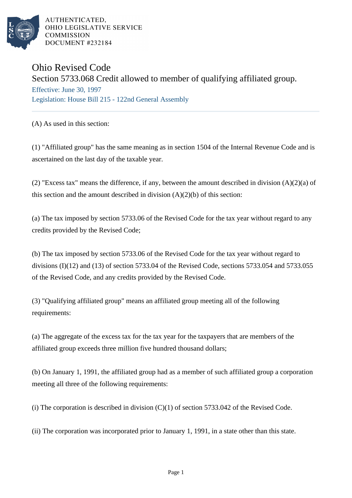

AUTHENTICATED. OHIO LEGISLATIVE SERVICE **COMMISSION** DOCUMENT #232184

## Ohio Revised Code

## Section 5733.068 Credit allowed to member of qualifying affiliated group.

Effective: June 30, 1997 Legislation: House Bill 215 - 122nd General Assembly

(A) As used in this section:

(1) "Affiliated group" has the same meaning as in section 1504 of the Internal Revenue Code and is ascertained on the last day of the taxable year.

(2) "Excess tax" means the difference, if any, between the amount described in division (A)(2)(a) of this section and the amount described in division  $(A)(2)(b)$  of this section:

(a) The tax imposed by section 5733.06 of the Revised Code for the tax year without regard to any credits provided by the Revised Code;

(b) The tax imposed by section 5733.06 of the Revised Code for the tax year without regard to divisions (I)(12) and (13) of section 5733.04 of the Revised Code, sections 5733.054 and 5733.055 of the Revised Code, and any credits provided by the Revised Code.

(3) "Qualifying affiliated group" means an affiliated group meeting all of the following requirements:

(a) The aggregate of the excess tax for the tax year for the taxpayers that are members of the affiliated group exceeds three million five hundred thousand dollars;

(b) On January 1, 1991, the affiliated group had as a member of such affiliated group a corporation meeting all three of the following requirements:

(i) The corporation is described in division  $(C)(1)$  of section 5733.042 of the Revised Code.

(ii) The corporation was incorporated prior to January 1, 1991, in a state other than this state.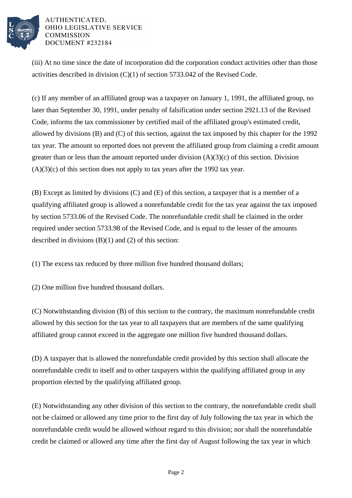

## AUTHENTICATED. OHIO LEGISLATIVE SERVICE **COMMISSION** DOCUMENT #232184

(iii) At no time since the date of incorporation did the corporation conduct activities other than those activities described in division (C)(1) of section 5733.042 of the Revised Code.

(c) If any member of an affiliated group was a taxpayer on January 1, 1991, the affiliated group, no later than September 30, 1991, under penalty of falsification under section 2921.13 of the Revised Code, informs the tax commissioner by certified mail of the affiliated group's estimated credit, allowed by divisions (B) and (C) of this section, against the tax imposed by this chapter for the 1992 tax year. The amount so reported does not prevent the affiliated group from claiming a credit amount greater than or less than the amount reported under division  $(A)(3)(c)$  of this section. Division  $(A)(3)(c)$  of this section does not apply to tax years after the 1992 tax year.

(B) Except as limited by divisions (C) and (E) of this section, a taxpayer that is a member of a qualifying affiliated group is allowed a nonrefundable credit for the tax year against the tax imposed by section 5733.06 of the Revised Code. The nonrefundable credit shall be claimed in the order required under section 5733.98 of the Revised Code, and is equal to the lesser of the amounts described in divisions  $(B)(1)$  and  $(2)$  of this section:

(1) The excess tax reduced by three million five hundred thousand dollars;

(2) One million five hundred thousand dollars.

(C) Notwithstanding division (B) of this section to the contrary, the maximum nonrefundable credit allowed by this section for the tax year to all taxpayers that are members of the same qualifying affiliated group cannot exceed in the aggregate one million five hundred thousand dollars.

(D) A taxpayer that is allowed the nonrefundable credit provided by this section shall allocate the nonrefundable credit to itself and to other taxpayers within the qualifying affiliated group in any proportion elected by the qualifying affiliated group.

(E) Notwithstanding any other division of this section to the contrary, the nonrefundable credit shall not be claimed or allowed any time prior to the first day of July following the tax year in which the nonrefundable credit would be allowed without regard to this division; nor shall the nonrefundable credit be claimed or allowed any time after the first day of August following the tax year in which